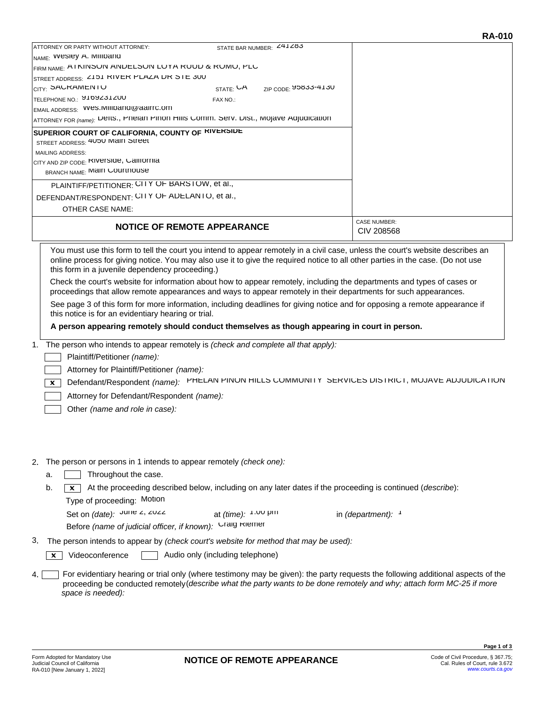| <b>NOTICE OF REMOTE APPEARANCE</b>                                                              |                          |                                           | CIV 208568          |
|-------------------------------------------------------------------------------------------------|--------------------------|-------------------------------------------|---------------------|
|                                                                                                 |                          |                                           | <b>CASE NUMBER:</b> |
| <b>OTHER CASE NAME:</b>                                                                         |                          |                                           |                     |
| DEFENDANT/RESPONDENT: CITY OF ADELANTO, et al.,                                                 |                          |                                           |                     |
| PLAINTIFF/PETITIONER: CITY OF BARSTOW, et al.,                                                  |                          |                                           |                     |
|                                                                                                 |                          |                                           |                     |
| <b>BRANCH NAME: IVIAIII COUTTIOUSE</b>                                                          |                          |                                           |                     |
| CITY AND ZIP CODE: KIVETSIQE, CAIITOTNIA                                                        |                          |                                           |                     |
| <b>MAILING ADDRESS:</b>                                                                         |                          |                                           |                     |
| STREET ADDRESS: 4000 IVIAIII OTTEET                                                             |                          |                                           |                     |
| SUPERIOR COURT OF CALIFORNIA, COUNTY OF KIVERSIDE                                               |                          |                                           |                     |
| ATTORNEY FOR (name): Delts., Prieiari Piriori Hills Corriffi. Serv. Dist., Mojave Adjudicatiori |                          |                                           |                     |
| EMAIL ADDRESS: VVes.MIIIDand@aairrc.om                                                          |                          |                                           |                     |
| TELEPHONE NO.: 9109231200                                                                       | FAX NO.:                 |                                           |                     |
| <sub>CITY:</sub> SAURAMENTU                                                                     |                          | $STATE: \bigcup A$ $ZIP CODE: 95633-4130$ |                     |
| STREET ADDRESS: < I J I KIVER PLAZA UR SIE 300                                                  |                          |                                           |                     |
| FIRM NAME: A I NINOUN ANDELOUN LUTA KUUD & KUMU, PLU                                            |                          |                                           |                     |
| <sub>NAME:</sub> vvesley A. iviliidand                                                          |                          |                                           |                     |
| ATTORNEY OR PARTY WITHOUT ATTORNEY:                                                             | STATE BAR NUMBER: 241283 |                                           |                     |

You must use this form to tell the court you intend to appear remotely in a civil case, unless the court's website describes an online process for giving notice. You may also use it to give the required notice to all other parties in the case. (Do not use this form in a juvenile dependency proceeding.)

Check the court's website for information about how to appear remotely, including the departments and types of cases or proceedings that allow remote appearances and ways to appear remotely in their departments for such appearances.

See page 3 of this form for more information, including deadlines for giving notice and for opposing a remote appearance if this notice is for an evidentiary hearing or trial.

**A person appearing remotely should conduct themselves as though appearing in court in person.**

1. The person who intends to appear remotely is *(check and complete all that apply):*

Plaintiff/Petitioner *(name):*

Attorney for Plaintiff/Petitioner *(name):*

Defendant/Respondent *(name):* PHELAN PINON HILLS COMMUNITY SERVICES DISTRICT, MOJAVE ADJUDICATION

Attorney for Defendant/Respondent *(name):*

Other *(name and role in case):*

## 2. The person or persons in 1 intends to appear remotely *(check one):*

- $a.$  Throughout the case.
- b. At the proceeding described below, including on any later dates if the proceeding is continued (*describe*): Type of proceeding: Motion
	- Set on *(date):* June 2, 2022 at *(time):* 1:00 pm in *(department):* <sup>1</sup> Before *(name of judicial officer, if known)*: Uraig Riemer at (time):  $1:00$  pm

The person intends to appear by *(check court's website for method that may be used):* 3.

 $\boxed{\mathbf{x}}$  Videoconference  $\boxed{\phantom{a}}$  Audio only (including telephone)

For evidentiary hearing or trial only (where testimony may be given): the party requests the following additional aspects of the proceeding be conducted remotely(*describe what the party wants to be done remotely and why; attach form MC-25 if more space is needed):*  $4.1$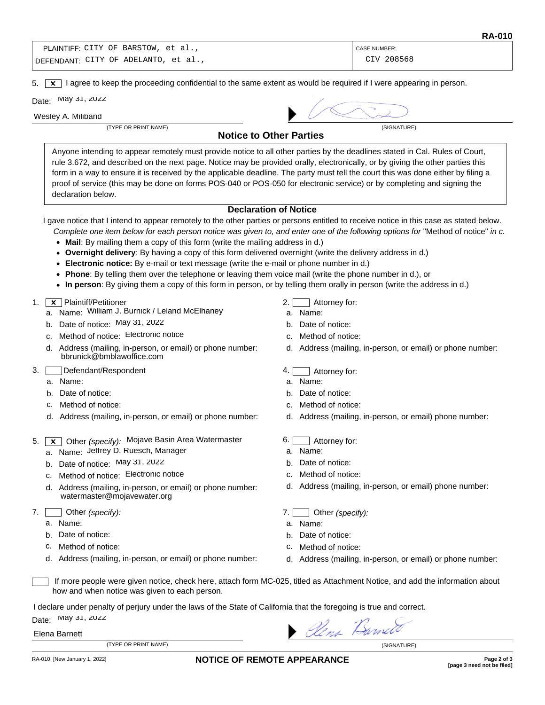| PLAINTIFF: CITY OF BARSTOW, et al.,   | <b>CASE NUMBER:</b> |
|---------------------------------------|---------------------|
| 'DEFENDANT: CITY OF ADELANTO, et al., | CIV 208568          |

5.  $\boxed{\mathbf{x}}$  I agree to keep the proceeding confidential to the same extent as would be required if I were appearing in person.

Date: May 31, 2022

Wesley A. Miliband

(TYPE OR PRINT NAME) (SIGNATURE)



**Notice to Other Parties**

Anyone intending to appear remotely must provide notice to all other parties by the deadlines stated in Cal. Rules of Court, rule 3.672, and described on the next page. Notice may be provided orally, electronically, or by giving the other parties this form in a way to ensure it is received by the applicable deadline. The party must tell the court this was done either by filing a proof of service (this may be done on forms POS-040 or POS-050 for electronic service) or by completing and signing the declaration below.

## **Declaration of Notice**

I gave notice that I intend to appear remotely to the other parties or persons entitled to receive notice in this case as stated below.

- *Complete one item below for each person notice was given to, and enter one of the following options for* "Method of notice" *in c.*
- **Mail**: By mailing them a copy of this form (write the mailing address in d.)
- **Overnight delivery**: By having a copy of this form delivered overnight (write the delivery address in d.)
- **Electronic notice:** By e-mail or text message (write the e-mail or phone number in d.)
- **Phone**: By telling them over the telephone or leaving them voice mail (write the phone number in d.), or
- **In person**: By giving them a copy of this form in person, or by telling them orally in person (write the address in d.)

## 1.  $\boxed{\mathbf{x}}$  Plaintiff/Petitioner

- a. Name: William J. Burnick / Leland McElhaney
- b. Date of notice: May 31, 2022
- c. Method of notice: Electronic notice
- d. Address (mailing, in-person, or email) or phone number: bbrunick@bmblawoffice.com
- 3. Defendant/Respondent
	- a. Name:
	- b. Date of notice:
	- c. Method of notice:
	- d. Address (mailing, in-person, or email) or phone number:
- 5. X Other *(specify):* Mojave Basin Area Watermaster
	- a. Name: Jeffrey D. Ruesch, Manager
	- b. Date of notice: May 31, 2022
	- c. Method of notice: Electronic notice
	- d. Address (mailing, in-person, or email) or phone number: watermaster@mojavewater.org
- 7. Other *(specify):*
	- a. Name:
	- b. Date of notice:
	- c. Method of notice:
	- d. Address (mailing, in-person, or email) or phone number:
- 2. Attorney for:
- a. Name:
- b. Date of notice:
- c. Method of notice:
- d. Address (mailing, in-person, or email) or phone number:
- 4. **Attorney for:**
- a. Name:
- b. Date of notice:
- c. Method of notice:
- d. Address (mailing, in-person, or email) phone number:
- 6. Attorney for:
- a. Name:
- b. Date of notice:
- c. Method of notice:
- d. Address (mailing, in-person, or email) phone number:
- 7. Other *(specify):*
- a. Name:
- b. Date of notice:
- c. Method of notice:
- d. Address (mailing, in-person, or email) or phone number:

If more people were given notice, check here, attach form MC-025, titled as Attachment Notice, and add the information about how and when notice was given to each person.

I declare under penalty of perjury under the laws of the State of California that the foregoing is true and correct. Date: May 31, 2022 Alena Barnet

## Elena Barnett

(TYPE OR PRINT NAME) (SIGNATURE)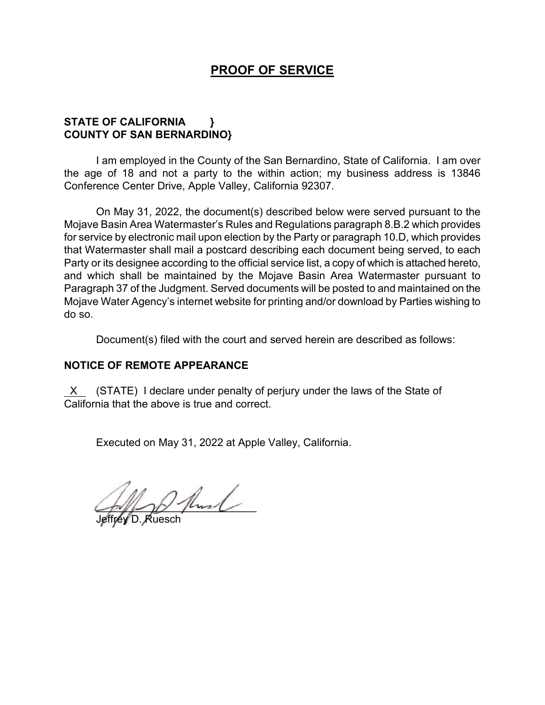## **PROOF OF SERVICE**

## **STATE OF CALIFORNIA } COUNTY OF SAN BERNARDINO}**

I am employed in the County of the San Bernardino, State of California. I am over the age of 18 and not a party to the within action; my business address is 13846 Conference Center Drive, Apple Valley, California 92307.

On May 31, 2022, the document(s) described below were served pursuant to the Mojave Basin Area Watermaster's Rules and Regulations paragraph 8.B.2 which provides for service by electronic mail upon election by the Party or paragraph 10.D, which provides that Watermaster shall mail a postcard describing each document being served, to each Party or its designee according to the official service list, a copy of which is attached hereto, and which shall be maintained by the Mojave Basin Area Watermaster pursuant to Paragraph 37 of the Judgment. Served documents will be posted to and maintained on the Mojave Water Agency's internet website for printing and/or download by Parties wishing to do so.

Document(s) filed with the court and served herein are described as follows:

## **NOTICE OF REMOTE APPEARANCE**

 X (STATE) I declare under penalty of perjury under the laws of the State of California that the above is true and correct.

Executed on May 31, 2022 at Apple Valley, California.

 $\sim$ 

Jeffrey D. Ruesch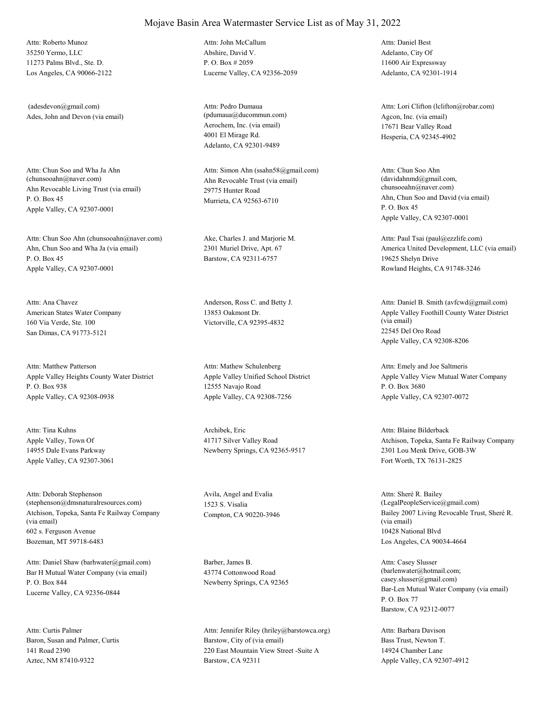35250 Yermo, LLC 11273 Palms Blvd., Ste. D. Los Angeles, CA 90066-2122 Attn: Roberto Munoz

Ades, John and Devon (via email) (adesdevon@gmail.com)

Ahn Revocable Living Trust (via email) P. O. Box 45 Apple Valley, CA 92307-0001 Attn: Chun Soo and Wha Ja Ahn<br>(chunsooahn@naver.com)

Ahn, Chun Soo and Wha Ja (via email) P. O. Box 45 Apple Valley, CA 92307-0001 Attn: Chun Soo Ahn (chunsooahn@naver.com) Ake, Charles J. and Marjorie M.

American States Water Company 160 Via Verde, Ste. 100 San Dimas, CA 91773-5121 Attn: Ana Chavez Anderson, Ross C. and Betty J.

Apple Valley Heights County Water District P. O. Box 938 Apple Valley, CA 92308-0938 Attn: Matthew Patterson

Apple Valley, Town Of 14955 Dale Evans Parkway Apple Valley, CA 92307-3061 Attn: Tina Kuhns Archibek, Eric

Atchison, Topeka, Santa Fe Railway Company (via email) 602 s. Ferguson Avenue Bozeman, MT 59718-6483 Attn: Deborah Stephenson (stephenson@dmsnaturalresources.com)

Bar H Mutual Water Company (via email) P. O. Box 844 Lucerne Valley, CA 92356-0844 Attn: Daniel Shaw (barhwater@gmail.com) Barber, James B.

Baron, Susan and Palmer, Curtis 141 Road 2390 Aztec, NM 87410-9322 Attn: Curtis Palmer

Abshire, David V. P. O. Box # 2059 Lucerne Valley, CA 92356-2059 Attn: John McCallum

Aerochem, Inc. (via email) 4001 El Mirage Rd. Adelanto, CA 92301-9489 Attn: Pedro Dumaua (pdumaua@ducommun.com) Agcon, Inc. (via email)

Ahn Revocable Trust (via email) 29775 Hunter Road Murrieta, CA 92563-6710 Attn: Simon Ahn (ssahn58@gmail.com)

2301 Muriel Drive, Apt. 67 Barstow, CA 92311-6757

13853 Oakmont Dr. Victorville, CA 92395-4832

Apple Valley Unified School District 12555 Navajo Road Apple Valley, CA 92308-7256 Attn: Mathew Schulenberg

41717 Silver Valley Road Newberry Springs, CA 92365-9517

Avila, Angel and Evalia 1523 S. Visalia

43774 Cottonwood Road Newberry Springs, CA 92365

Barstow, City of (via email) 220 East Mountain View Street -Suite A Barstow, CA 92311 Attn: Jennifer Riley (hriley@barstowca.org) Adelanto, City Of 11600 Air Expressway Adelanto, CA 92301-1914 Attn: Daniel Best

17671 Bear Valley Road Hesperia, CA 92345-4902 Attn: Lori Clifton (lclifton@robar.com)

Ahn, Chun Soo and David (via email) P. O. Box 45 Apple Valley, CA 92307-0001 Attn: Chun Soo Ahn (davidahnmd@gmail.com, chunsooahn@naver.com)

America United Development, LLC (via email) 19625 Shelyn Drive Rowland Heights, CA 91748-3246 Attn: Paul Tsai (paul@ezzlife.com)

Apple Valley Foothill County Water District (via email) 22545 Del Oro Road Apple Valley, CA 92308-8206 Attn: Daniel B. Smith (avfcwd@gmail.com)

Apple Valley View Mutual Water Company P. O. Box 3680 Apple Valley, CA 92307-0072 Attn: Emely and Joe Saltmeris

Atchison, Topeka, Santa Fe Railway Company 2301 Lou Menk Drive, GOB-3W Fort Worth, TX 76131-2825 Attn: Blaine Bilderback

Compton, CA 90220-3946 Bailey 2007 Living Revocable Trust, Sheré R. (via email) 10428 National Blvd Los Angeles, CA 90034-4664 Attn: Sheré R. Bailey (LegalPeopleService@gmail.com)

> Bar-Len Mutual Water Company (via email) P. O. Box 77 Barstow, CA 92312-0077 Attn: Casey Slusser (barlenwater@hotmail.com; casey.slusser@gmail.com)

Bass Trust, Newton T. 14924 Chamber Lane Apple Valley, CA 92307-4912 Attn: Barbara Davison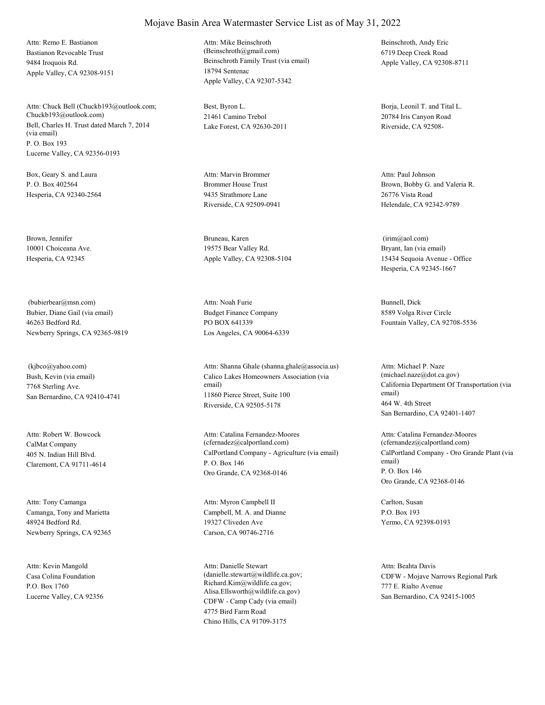Bastianon Revocable Trust 9484 Iroquois Rd. Apple Valley, CA 92308-9151 Attn: Remo E. Bastianon

Bell, Charles H. Trust dated March 7, 2014 (via email) P. O. Box 193 Lucerne Valley, CA 92356-0193 Attn: Chuck Bell (Chuckb193@outlook.com; Chuckb193@outlook.com)

Box, Geary S. and Laura P. O. Box 402564 Hesperia, CA 92340-2564

Brown, Jennifer 10001 Choiceana Ave. Hesperia, CA 92345

Bubier, Diane Gail (via email) 46263 Bedford Rd. Newberry Springs, CA 92365-9819 (bubierbear@msn.com)

Bush, Kevin (via email) 7768 Sterling Ave. San Bernardino, CA 92410-4741 (kjbco@yahoo.com)

CalMat Company 405 N. Indian Hill Blvd. Claremont, CA 91711-4614 Attn: Robert W. Bowcock

Camanga, Tony and Marietta 48924 Bedford Rd. Newberry Springs, CA 92365 Attn: Tony Camanga

Casa Colina Foundation P.O. Box 1760 Lucerne Valley, CA 92356 Attn: Kevin Mangold

Beinschroth Family Trust (via email) 18794 Sentenac Apple Valley, CA 92307-5342 Attn: Mike Beinschroth (Beinschroth@gmail.com)

Best, Byron L. 21461 Camino Trebol Lake Forest, CA 92630-2011

Brommer House Trust 9435 Strathmore Lane Riverside, CA 92509-0941 Attn: Marvin Brommer

Bruneau, Karen 19575 Bear Valley Rd. Apple Valley, CA 92308-5104

Budget Finance Company PO BOX 641339 Los Angeles, CA 90064-6339 Attn: Noah Furie Bunnell, Dick

Calico Lakes Homeowners Association (via email) 11860 Pierce Street, Suite 100 Riverside, CA 92505-5178 Attn: Shanna Ghale (shanna.ghale@associa.us)

CalPortland Company - Agriculture (via email) P. O. Box 146 Oro Grande, CA 92368-0146 Attn: Catalina Fernandez-Moores (cfernadez@calportland.com)

Campbell, M. A. and Dianne 19327 Cliveden Ave Carson, CA 90746-2716 Attn: Myron Campbell II Carlton, Susan

CDFW - Camp Cady (via email) 4775 Bird Farm Road Chino Hills, CA 91709-3175 Attn: Danielle Stewart (danielle.stewart@wildlife.ca.gov; Richard.Kim@wildlife.ca.gov; Alisa.Ellsworth@wildlife.ca.gov)

Beinschroth, Andy Eric 6719 Deep Creek Road Apple Valley, CA 92308-8711

Borja, Leonil T. and Tital L. 20784 Iris Canyon Road Riverside, CA 92508-

Brown, Bobby G. and Valeria R. 26776 Vista Road Helendale, CA 92342-9789 Attn: Paul Johnson

Bryant, Ian (via email) 15434 Sequoia Avenue - Office Hesperia, CA 92345-1667 (irim@aol.com)

8589 Volga River Circle Fountain Valley, CA 92708-5536

California Department Of Transportation (via email) 464 W. 4th Street San Bernardino, CA 92401-1407 Attn: Michael P. Naze (michael.naze@dot.ca.gov)

CalPortland Company - Oro Grande Plant (via email) P. O. Box 146 Oro Grande, CA 92368-0146 Attn: Catalina Fernandez-Moores (cfernandez@calportland.com)

P.O. Box 193 Yermo, CA 92398-0193

CDFW - Mojave Narrows Regional Park 777 E. Rialto Avenue San Bernardino, CA 92415-1005 Attn: Beahta Davis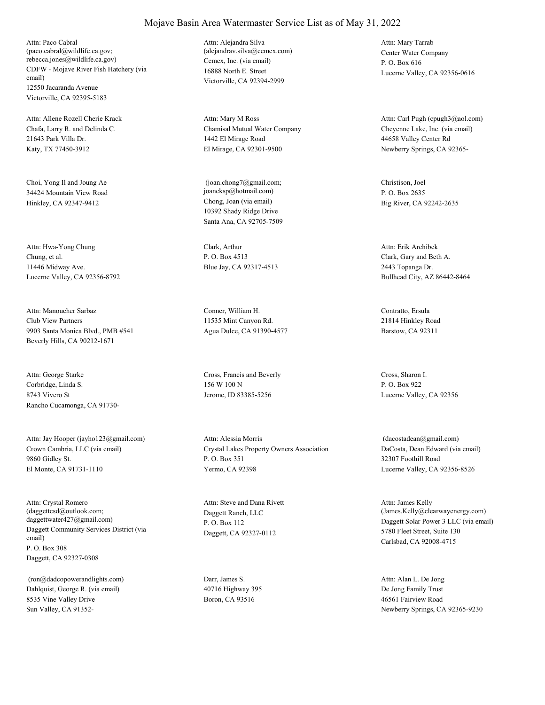CDFW - Mojave River Fish Hatchery (via email) 12550 Jacaranda Avenue Victorville, CA 92395-5183 Attn: Paco Cabral (paco.cabral@wildlife.ca.gov; rebecca.jones@wildlife.ca.gov) Cemex, Inc. (via email)

Chafa, Larry R. and Delinda C. 21643 Park Villa Dr. Katy, TX 77450-3912 Attn: Allene Rozell Cherie Krack

Choi, Yong Il and Joung Ae 34424 Mountain View Road Hinkley, CA 92347-9412 Chong, Joan (via email)

Chung, et al. 11446 Midway Ave. Lucerne Valley, CA 92356-8792 Attn: Hwa-Yong Chung Clark, Arthur

Club View Partners 9903 Santa Monica Blvd., PMB #541 Beverly Hills, CA 90212-1671 Attn: Manoucher Sarbaz Conner, William H.

Corbridge, Linda S. 8743 Vivero St Rancho Cucamonga, CA 91730- Attn: George Starke Cross, Francis and Beverly

Crown Cambria, LLC (via email) 9860 Gidley St. El Monte, CA 91731-1110 Attn: Jay Hooper (jayho123@gmail.com)

Daggett Community Services District (via email) P. O. Box 308 Daggett, CA 92327-0308 Attn: Crystal Romero (daggettcsd@outlook.com; daggettwater427@gmail.com)

Dahlquist, George R. (via email) 8535 Vine Valley Drive Sun Valley, CA 91352- (ron@dadcopowerandlights.com) Darr, James S.

16888 North E. Street Victorville, CA 92394-2999 Attn: Alejandra Silva (alejandrav.silva@cemex.com) Center Water Company

Chamisal Mutual Water Company 1442 El Mirage Road El Mirage, CA 92301-9500 Attn: Mary M Ross

10392 Shady Ridge Drive Santa Ana, CA 92705-7509 (joan.chong7@gmail.com; joancksp@hotmail.com)

P. O. Box 4513 Blue Jay, CA 92317-4513

11535 Mint Canyon Rd. Agua Dulce, CA 91390-4577

156 W 100 N Jerome, ID 83385-5256

Crystal Lakes Property Owners Association P. O. Box 351 Yermo, CA 92398 Attn: Alessia Morris

Daggett Ranch, LLC P. O. Box 112 Daggett, CA 92327-0112 Attn: Steve and Dana Rivett

40716 Highway 395 Boron, CA 93516

P. O. Box 616 Lucerne Valley, CA 92356-0616 Attn: Mary Tarrab

Cheyenne Lake, Inc. (via email) 44658 Valley Center Rd Newberry Springs, CA 92365- Attn: Carl Pugh (cpugh3@aol.com)

Christison, Joel P. O. Box 2635 Big River, CA 92242-2635

Clark, Gary and Beth A. 2443 Topanga Dr. Bullhead City, AZ 86442-8464 Attn: Erik Archibek

Contratto, Ersula 21814 Hinkley Road Barstow, CA 92311

Cross, Sharon I. P. O. Box 922 Lucerne Valley, CA 92356

DaCosta, Dean Edward (via email) 32307 Foothill Road Lucerne Valley, CA 92356-8526 (dacostadean@gmail.com)

Daggett Solar Power 3 LLC (via email) 5780 Fleet Street, Suite 130 Carlsbad, CA 92008-4715 Attn: James Kelly (James.Kelly@clearwayenergy.com)

De Jong Family Trust 46561 Fairview Road Newberry Springs, CA 92365-9230 Attn: Alan L. De Jong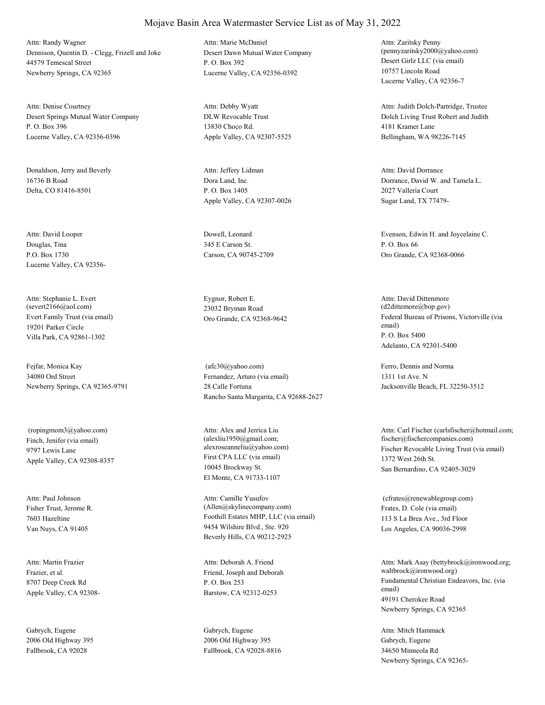Dennison, Quentin D. - Clegg, Frizell and Joke 44579 Temescal Street Newberry Springs, CA 92365 Attn: Randy Wagner

Desert Springs Mutual Water Company P. O. Box 396 Lucerne Valley, CA 92356-0396 Attn: Denise Courtney

Donaldson, Jerry and Beverly 16736 B Road Delta, CO 81416-8501

Douglas, Tina P.O. Box 1730 Lucerne Valley, CA 92356- Attn: David Looper Dowell, Leonard

Evert Family Trust (via email) 19201 Parker Circle Villa Park, CA 92861-1302 Attn: Stephanie L. Evert (severt2166@aol.com)

Fejfar, Monica Kay 34080 Ord Street Newberry Springs, CA 92365-9791

Finch, Jenifer (via email) 9797 Lewis Lane Apple Valley, CA 92308-8357 (ropingmom3@yahoo.com)

Fisher Trust, Jerome R. 7603 Hazeltine Van Nuys, CA 91405 Attn: Paul Johnson

Frazier, et al. 8707 Deep Creek Rd Apple Valley, CA 92308- Attn: Martin Frazier

Gabrych, Eugene 2006 Old Highway 395 Fallbrook, CA 92028

Desert Dawn Mutual Water Company P. O. Box 392 Lucerne Valley, CA 92356-0392 Attn: Marie McDaniel

DLW Revocable Trust 13830 Choco Rd. Apple Valley, CA 92307-5525 Attn: Debby Wyatt

Dora Land, Inc. P. O. Box 1405 Apple Valley, CA 92307-0026 Attn: Jeffery Lidman

345 E Carson St. Carson, CA 90745-2709

Eygnor, Robert E. 23032 Bryman Road

Fernandez, Arturo (via email) 28 Calle Fortuna Rancho Santa Margarita, CA 92688-2627 (afc30@yahoo.com) Ferro, Dennis and Norma

First CPA LLC (via email) 10045 Brockway St. El Monte, CA 91733-1107 Attn: Alex and Jerrica Liu (alexliu1950@gmail.com;

Foothill Estates MHP, LLC (via email) 9454 Wilshire Blvd., Ste. 920 Beverly Hills, CA 90212-2925 Attn: Camille Yusufov (Allen@skylinecompany.com) Frates, D. Cole (via email)

Friend, Joseph and Deborah P. O. Box 253 Barstow, CA 92312-0253 Attn: Deborah A. Friend

Gabrych, Eugene 2006 Old Highway 395 Fallbrook, CA 92028-8816 Desert Girlz LLC (via email) 10757 Lincoln Road Lucerne Valley, CA 92356-7 Attn: Zaritsky Penny (pennyzaritsky2000@yahoo.com)

Dolch Living Trust Robert and Judith 4181 Kramer Lane Bellingham, WA 98226-7145 Attn: Judith Dolch-Partridge, Trustee

Dorrance, David W. and Tamela L. 2027 Valleria Court Sugar Land, TX 77479- Attn: David Dorrance

Evenson, Edwin H. and Joycelaine C. P. O. Box 66 Oro Grande, CA 92368-0066

Oro Grande, CA 92368-9642 Federal Bureau of Prisons, Victorville (via email) P. O. Box 5400 Adelanto, CA 92301-5400 Attn: David Dittenmore (d2dittemore@bop.gov)

> 1311 1st Ave. N Jacksonville Beach, FL 32250-3512

alexroseanneliu@yahoo.com) Fischer Revocable Living Trust (via email) 1372 West 26th St. San Bernardino, CA 92405-3029 Attn: Carl Fischer (carlsfischer@hotmail.com; fischer@fischercompanies.com)

> 113 S La Brea Ave., 3rd Floor Los Angeles, CA 90036-2998 (cfrates@renewablegroup.com)

Fundamental Christian Endeavors, Inc. (via email) 49191 Cherokee Road Newberry Springs, CA 92365 Attn: Mark Asay (bettybrock@ironwood.org; waltbrock@ironwood.org)

Gabrych, Eugene 34650 Minneola Rd Newberry Springs, CA 92365- Attn: Mitch Hammack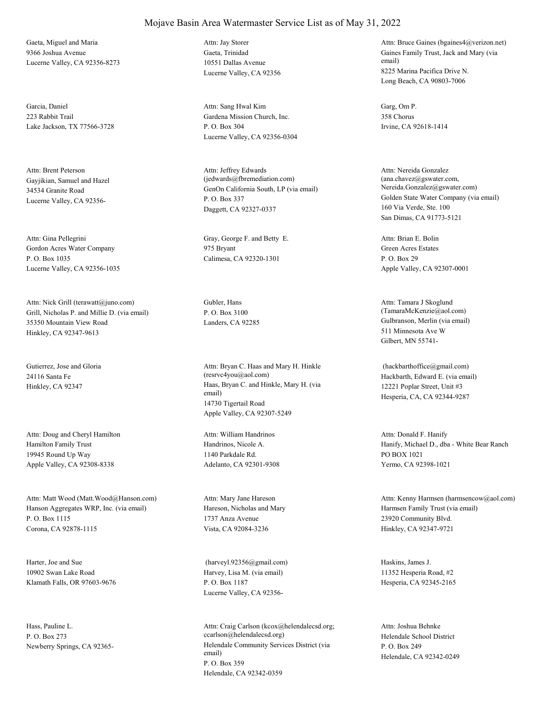Gaeta, Miguel and Maria 9366 Joshua Avenue Lucerne Valley, CA 92356-8273

Garcia, Daniel 223 Rabbit Trail Lake Jackson, TX 77566-3728

Gayjikian, Samuel and Hazel 34534 Granite Road Lucerne Valley, CA 92356- Attn: Brent Peterson

Gordon Acres Water Company P. O. Box 1035 Lucerne Valley, CA 92356-1035

Grill, Nicholas P. and Millie D. (via email) 35350 Mountain View Road Hinkley, CA 92347-9613 Attn: Nick Grill (terawatt@juno.com) Gubler, Hans

Gutierrez, Jose and Gloria 24116 Santa Fe

Hamilton Family Trust 19945 Round Up Way Apple Valley, CA 92308-8338 Attn: Doug and Cheryl Hamilton

Hanson Aggregates WRP, Inc. (via email) P. O. Box 1115 Corona, CA 92878-1115 Attn: Matt Wood (Matt.Wood@Hanson.com)

Harter, Joe and Sue 10902 Swan Lake Road Klamath Falls, OR 97603-9676

Hass, Pauline L. P. O. Box 273

## Mojave Basin Area Watermaster Service List as of May 31, 2022

Gaeta, Trinidad 10551 Dallas Avenue Lucerne Valley, CA 92356 Attn: Jay Storer

Gardena Mission Church, Inc. P. O. Box 304 Lucerne Valley, CA 92356-0304 Attn: Sang Hwal Kim Garg, Om P.

GenOn California South, LP (via email) P. O. Box 337 Daggett, CA 92327-0337 Attn: Jeffrey Edwards (jedwards@fbremediation.com)

Attn: Gina Pellegrini Gray, George F. and Betty E. 975 Bryant Calimesa, CA 92320-1301

P. O. Box 3100

Hinkley, CA 92347 Haas, Bryan C. and Hinkle, Mary H. (via email) 14730 Tigertail Road Apple Valley, CA 92307-5249 Attn: Bryan C. Haas and Mary H. Hinkle (resrvc4you@aol.com) Hackbarth, Edward E. (via email)

> Handrinos, Nicole A. 1140 Parkdale Rd. Adelanto, CA 92301-9308 Attn: William Handrinos

Hareson, Nicholas and Mary 1737 Anza Avenue Vista, CA 92084-3236 Attn: Mary Jane Hareson

Harvey, Lisa M. (via email) P. O. Box 1187 Lucerne Valley, CA 92356- (harveyl.92356@gmail.com) Haskins, James J.

Newberry Springs, CA 92365-<br>
Helendale Community Services District (via email) P. O. Box 359 Helendale, CA 92342-0359 Attn: Craig Carlson (kcox@helendalecsd.org; ccarlson@helendalecsd.org) Helendale School District

Gaines Family Trust, Jack and Mary (via email) 8225 Marina Pacifica Drive N. Long Beach, CA 90803-7006 Attn: Bruce Gaines (bgaines4@verizon.net)

358 Chorus Irvine, CA 92618-1414

Golden State Water Company (via email) 160 Via Verde, Ste. 100 San Dimas, CA 91773-5121 Attn: Nereida Gonzalez (ana.chavez@gswater.com, Nereida.Gonzalez@gswater.com)

Green Acres Estates P. O. Box 29 Apple Valley, CA 92307-0001 Attn: Brian E. Bolin

Landers, CA 92285 Gulbranson, Merlin (via email) 511 Minnesota Ave W Gilbert, MN 55741- Attn: Tamara J Skoglund (TamaraMcKenzie@aol.com)

> 12221 Poplar Street, Unit #3 Hesperia, CA, CA 92344-9287 (hackbarthoffice@gmail.com)

Hanify, Michael D., dba - White Bear Ranch PO BOX 1021 Yermo, CA 92398-1021 Attn: Donald F. Hanify

Harmsen Family Trust (via email) 23920 Community Blvd. Hinkley, CA 92347-9721 Attn: Kenny Harmsen (harmsencow@aol.com)

11352 Hesperia Road, #2 Hesperia, CA 92345-2165

P. O. Box 249 Helendale, CA 92342-0249 Attn: Joshua Behnke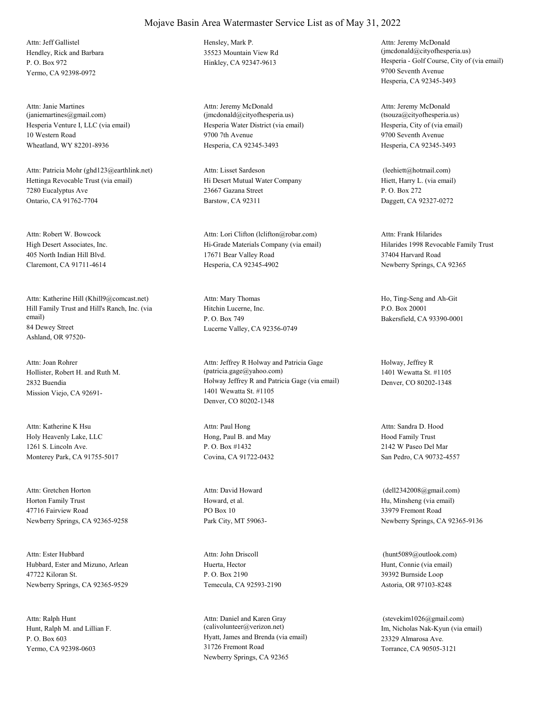Hendley, Rick and Barbara P. O. Box 972 Yermo, CA 92398-0972 Attn: Jeff Gallistel Hensley, Mark P.

Hesperia Venture I, LLC (via email) 10 Western Road Wheatland, WY 82201-8936 Attn: Janie Martines (janiemartines@gmail.com)

Hettinga Revocable Trust (via email) 7280 Eucalyptus Ave Ontario, CA 91762-7704 Attn: Patricia Mohr (ghd123@earthlink.net)

High Desert Associates, Inc. 405 North Indian Hill Blvd. Claremont, CA 91711-4614 Attn: Robert W. Bowcock

Hill Family Trust and Hill's Ranch, Inc. (via email) 84 Dewey Street Ashland, OR 97520- Attn: Katherine Hill (Khill9@comcast.net)

Hollister, Robert H. and Ruth M. 2832 Buendia Mission Viejo, CA 92691- Attn: Joan Rohrer

Holy Heavenly Lake, LLC 1261 S. Lincoln Ave. Monterey Park, CA 91755-5017 Attn: Katherine K Hsu

Horton Family Trust 47716 Fairview Road Newberry Springs, CA 92365-9258 Attn: Gretchen Horton

Hubbard, Ester and Mizuno, Arlean 47722 Kiloran St. Newberry Springs, CA 92365-9529 Attn: Ester Hubbard

Hunt, Ralph M. and Lillian F. P. O. Box 603 Yermo, CA 92398-0603 Attn: Ralph Hunt

35523 Mountain View Rd

Hesperia Water District (via email) 9700 7th Avenue Hesperia, CA 92345-3493 Attn: Jeremy McDonald (jmcdonald@cityofhesperia.us)

Hi Desert Mutual Water Company 23667 Gazana Street Barstow, CA 92311 Attn: Lisset Sardeson

Hi-Grade Materials Company (via email) 17671 Bear Valley Road Hesperia, CA 92345-4902 Attn: Lori Clifton (lclifton@robar.com)

Hitchin Lucerne, Inc. P. O. Box 749 Lucerne Valley, CA 92356-0749 Attn: Mary Thomas Ho, Ting-Seng and Ah-Git

Holway Jeffrey R and Patricia Gage (via email) 1401 Wewatta St. #1105 Denver, CO 80202-1348 Attn: Jeffrey R Holway and Patricia Gage (patricia.gage@yahoo.com)

Hong, Paul B. and May P. O. Box #1432 Covina, CA 91722-0432 Attn: Paul Hong

Howard, et al. PO Box 10 Park City, MT 59063- Attn: David Howard

Huerta, Hector P. O. Box 2190 Temecula, CA 92593-2190 Attn: John Driscoll

Hyatt, James and Brenda (via email) 31726 Fremont Road Newberry Springs, CA 92365 Attn: Daniel and Karen Gray (calivolunteer@verizon.net) Im, Nicholas Nak-Kyun (via email)

Hinkley, CA 92347-9613 Hesperia - Golf Course, City of (via email) 9700 Seventh Avenue Hesperia, CA 92345-3493 Attn: Jeremy McDonald (jmcdonald@cityofhesperia.us)

> Hesperia, City of (via email) 9700 Seventh Avenue Hesperia, CA 92345-3493 Attn: Jeremy McDonald (tsouza@cityofhesperia.us)

Hiett, Harry L. (via email) P. O. Box 272 Daggett, CA 92327-0272 (leehiett@hotmail.com)

Hilarides 1998 Revocable Family Trust 37404 Harvard Road Newberry Springs, CA 92365 Attn: Frank Hilarides

P.O. Box 20001 Bakersfield, CA 93390-0001

Holway, Jeffrey R 1401 Wewatta St. #1105 Denver, CO 80202-1348

Hood Family Trust 2142 W Paseo Del Mar San Pedro, CA 90732-4557 Attn: Sandra D. Hood

Hu, Minsheng (via email) 33979 Fremont Road Newberry Springs, CA 92365-9136 (dell2342008@gmail.com)

Hunt, Connie (via email) 39392 Burnside Loop Astoria, OR 97103-8248 (hunt5089@outlook.com)

23329 Almarosa Ave. Torrance, CA 90505-3121 (stevekim1026@gmail.com)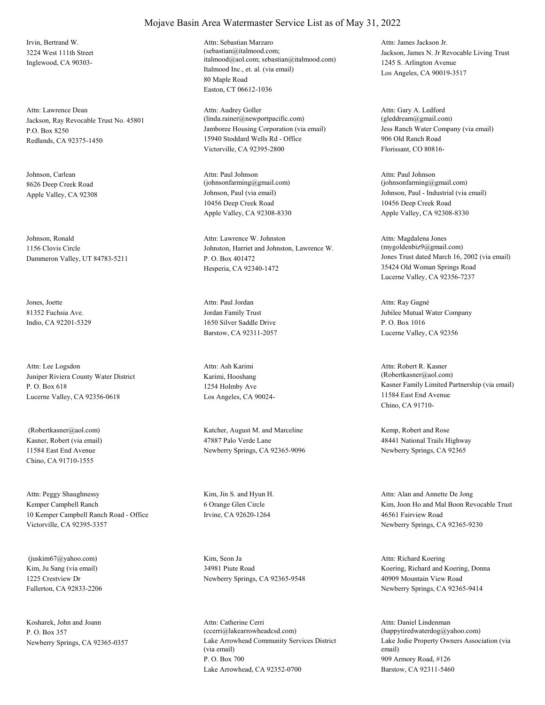Irvin, Bertrand W. 3224 West 111th Street Inglewood, CA 90303-

Jackson, Ray Revocable Trust No. 45801 P.O. Box 8250 Redlands, CA 92375-1450 Attn: Lawrence Dean

Johnson, Carlean 8626 Deep Creek Road

Johnson, Ronald 1156 Clovis Circle Dammeron Valley, UT 84783-5211

Jones, Joette 81352 Fuchsia Ave. Indio, CA 92201-5329

Juniper Riviera County Water District P. O. Box 618 Lucerne Valley, CA 92356-0618 Attn: Lee Logsdon

Kasner, Robert (via email) 11584 East End Avenue Chino, CA 91710-1555

Kemper Campbell Ranch 10 Kemper Campbell Ranch Road - Office Victorville, CA 92395-3357 Attn: Peggy Shaughnessy Kim, Jin S. and Hyun H.

Kim, Ju Sang (via email) 1225 Crestview Dr Fullerton, CA 92833-2206 (juskim67@yahoo.com) Kim, Seon Ja

Kosharek, John and Joann P. O. Box 357

#### Mojave Basin Area Watermaster Service List as of May 31, 2022

Italmood Inc., et. al. (via email) 80 Maple Road Easton, CT 06612-1036 Attn: Sebastian Marzaro (sebastian@italmood.com; italmood@aol.com; sebastian@italmood.com)

Jamboree Housing Corporation (via email) 15940 Stoddard Wells Rd - Office Victorville, CA 92395-2800 Attn: Audrey Goller (linda.rainer@newportpacific.com)

Apple Valley, CA 92308 Johnson, Paul (via email) 10456 Deep Creek Road Apple Valley, CA 92308-8330 Attn: Paul Johnson (johnsonfarming@gmail.com)

> Johnston, Harriet and Johnston, Lawrence W. P. O. Box 401472 Hesperia, CA 92340-1472 Attn: Lawrence W. Johnston

Jordan Family Trust 1650 Silver Saddle Drive Barstow, CA 92311-2057 Attn: Paul Jordan

Karimi, Hooshang 1254 Holmby Ave Los Angeles, CA 90024- Attn: Ash Karimi

 (Robertkasner@aol.com) Katcher, August M. and Marceline 47887 Palo Verde Lane Newberry Springs, CA 92365-9096

> 6 Orange Glen Circle Irvine, CA 92620-1264

34981 Piute Road Newberry Springs, CA 92365-9548

Newberry Springs, CA 92365-0357 Lake Arrowhead Community Services District (via email) P. O. Box 700 Lake Arrowhead, CA 92352-0700 Attn: Catherine Cerri (ccerri@lakearrowheadcsd.com)

Jackson, James N. Jr Revocable Living Trust 1245 S. Arlington Avenue Los Angeles, CA 90019-3517 Attn: James Jackson Jr.

Jess Ranch Water Company (via email) 906 Old Ranch Road Florissant, CO 80816- Attn: Gary A. Ledford (gleddream@gmail.com)

Johnson, Paul - Industrial (via email) 10456 Deep Creek Road Apple Valley, CA 92308-8330 Attn: Paul Johnson  $(iohnsonfarming@gmail.com)$ 

Jones Trust dated March 16, 2002 (via email) 35424 Old Woman Springs Road Lucerne Valley, CA 92356-7237 Attn: Magdalena Jones (mygoldenbiz9@gmail.com)

Jubilee Mutual Water Company P. O. Box 1016 Lucerne Valley, CA 92356 Attn: Ray Gagné

Kasner Family Limited Partnership (via email) 11584 East End Avenue Chino, CA 91710- Attn: Robert R. Kasner (Robertkasner@aol.com)

Kemp, Robert and Rose 48441 National Trails Highway Newberry Springs, CA 92365

Kim, Joon Ho and Mal Boon Revocable Trust 46561 Fairview Road Newberry Springs, CA 92365-9230 Attn: Alan and Annette De Jong

Koering, Richard and Koering, Donna 40909 Mountain View Road Newberry Springs, CA 92365-9414 Attn: Richard Koering

Lake Jodie Property Owners Association (via email) 909 Armory Road, #126 Barstow, CA 92311-5460 Attn: Daniel Lindenman (happytiredwaterdog@yahoo.com)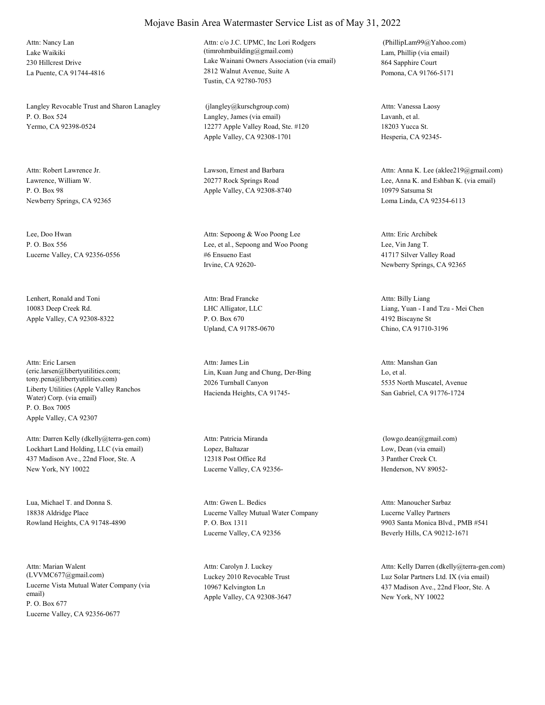Lake Waikiki 230 Hillcrest Drive La Puente, CA 91744-4816 Attn: Nancy Lan

Langley Revocable Trust and Sharon Lanagley P. O. Box 524 Yermo, CA 92398-0524

Lawrence, William W. P. O. Box 98 Newberry Springs, CA 92365

Lee, Doo Hwan P. O. Box 556 Lucerne Valley, CA 92356-0556

Lenhert, Ronald and Toni 10083 Deep Creek Rd. Apple Valley, CA 92308-8322

Liberty Utilities (Apple Valley Ranchos Water) Corp. (via email) P. O. Box 7005 Apple Valley, CA 92307 Attn: Eric Larsen (eric.larsen@libertyutilities.com; tony.pena@libertyutilities.com)

Lockhart Land Holding, LLC (via email) 437 Madison Ave., 22nd Floor, Ste. A New York, NY 10022 Attn: Darren Kelly (dkelly@terra-gen.com)

Lua, Michael T. and Donna S. 18838 Aldridge Place Rowland Heights, CA 91748-4890

Lucerne Vista Mutual Water Company (via email) P. O. Box 677 Lucerne Valley, CA 92356-0677 Attn: Marian Walent (LVVMC677@gmail.com) Luckey 2010 Revocable Trust

# Attn: c/o J.C. UPMC, Inc Lori Rodgers

Mojave Basin Area Watermaster Service List as of May 31, 2022

Lake Wainani Owners Association (via email) 2812 Walnut Avenue, Suite A Tustin, CA 92780-7053 (timrohmbuilding@gmail.com) Lam, Phillip (via email)

Langley, James (via email) 12277 Apple Valley Road, Ste. #120 Apple Valley, CA 92308-1701 (jlangley@kurschgroup.com)

Attn: Robert Lawrence Jr. Lawson, Ernest and Barbara 20277 Rock Springs Road Apple Valley, CA 92308-8740

> Lee, et al., Sepoong and Woo Poong #6 Ensueno East Irvine, CA 92620- Attn: Sepoong & Woo Poong Lee

LHC Alligator, LLC P. O. Box 670 Upland, CA 91785-0670 Attn: Brad Francke

Lin, Kuan Jung and Chung, Der-Bing 2026 Turnball Canyon Hacienda Heights, CA 91745- Attn: James Lin

Lopez, Baltazar 12318 Post Office Rd Lucerne Valley, CA 92356- Attn: Patricia Miranda

Lucerne Valley Mutual Water Company P. O. Box 1311 Lucerne Valley, CA 92356 Attn: Gwen L. Bedics

10967 Kelvington Ln Apple Valley, CA 92308-3647 Attn: Carolyn J. Luckey

864 Sapphire Court Pomona, CA 91766-5171 (PhillipLam99@Yahoo.com)

Lavanh, et al. 18203 Yucca St. Hesperia, CA 92345- Attn: Vanessa Laosy

Lee, Anna K. and Eshban K. (via email) 10979 Satsuma St Loma Linda, CA 92354-6113 Attn: Anna K. Lee (aklee219@gmail.com)

Lee, Vin Jang T. 41717 Silver Valley Road Newberry Springs, CA 92365 Attn: Eric Archibek

Liang, Yuan - I and Tzu - Mei Chen 4192 Biscayne St Chino, CA 91710-3196 Attn: Billy Liang

Lo, et al. 5535 North Muscatel, Avenue San Gabriel, CA 91776-1724 Attn: Manshan Gan

Low, Dean (via email) 3 Panther Creek Ct. Henderson, NV 89052- (lowgo.dean@gmail.com)

Lucerne Valley Partners 9903 Santa Monica Blvd., PMB #541 Beverly Hills, CA 90212-1671 Attn: Manoucher Sarbaz

Luz Solar Partners Ltd. IX (via email) 437 Madison Ave., 22nd Floor, Ste. A New York, NY 10022 Attn: Kelly Darren (dkelly@terra-gen.com)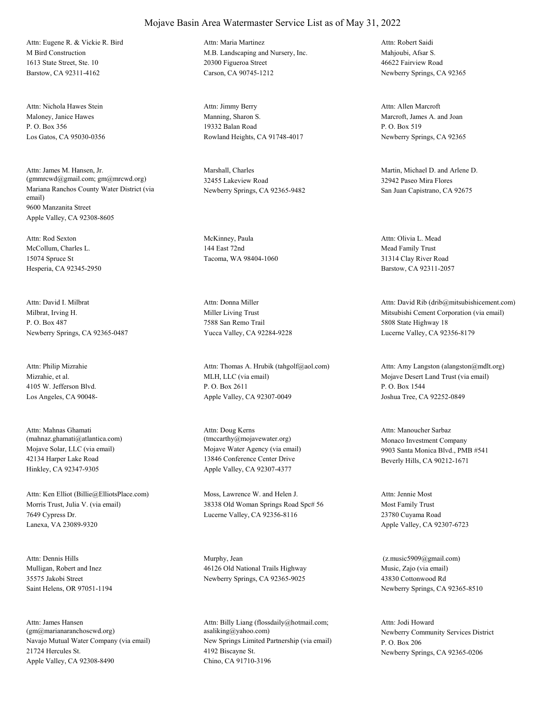M Bird Construction 1613 State Street, Ste. 10 Barstow, CA 92311-4162 Attn: Eugene R. & Vickie R. Bird

Maloney, Janice Hawes P. O. Box 356 Los Gatos, CA 95030-0356 Attn: Nichola Hawes Stein

Mariana Ranchos County Water District (via email) 9600 Manzanita Street Apple Valley, CA 92308-8605 Attn: James M. Hansen, Jr. (gmmrcwd@gmail.com; gm@mrcwd.org)

McCollum, Charles L. 15074 Spruce St Hesperia, CA 92345-2950 Attn: Rod Sexton McKinney, Paula

Milbrat, Irving H. P. O. Box 487 Newberry Springs, CA 92365-0487 Attn: David I. Milbrat

Mizrahie, et al. 4105 W. Jefferson Blvd. Los Angeles, CA 90048- Attn: Philip Mizrahie

Mojave Solar, LLC (via email) 42134 Harper Lake Road Hinkley, CA 92347-9305 Attn: Mahnas Ghamati (mahnaz.ghamati@atlantica.com)

Morris Trust, Julia V. (via email) 7649 Cypress Dr. Lanexa, VA 23089-9320 Attn: Ken Elliot (Billie@ElliotsPlace.com) Moss, Lawrence W. and Helen J.

Mulligan, Robert and Inez 35575 Jakobi Street Saint Helens, OR 97051-1194 Attn: Dennis Hills Murphy, Jean

Navajo Mutual Water Company (via email) 21724 Hercules St. Apple Valley, CA 92308-8490 Attn: James Hansen (gm@marianaranchoscwd.org)

#### Mojave Basin Area Watermaster Service List as of May 31, 2022

M.B. Landscaping and Nursery, Inc. 20300 Figueroa Street Carson, CA 90745-1212 Attn: Maria Martinez

Manning, Sharon S. 19332 Balan Road Rowland Heights, CA 91748-4017 Attn: Jimmy Berry

Marshall, Charles 32455 Lakeview Road Newberry Springs, CA 92365-9482

144 East 72nd Tacoma, WA 98404-1060

Miller Living Trust 7588 San Remo Trail Yucca Valley, CA 92284-9228 Attn: Donna Miller

MLH, LLC (via email) P. O. Box 2611 Apple Valley, CA 92307-0049 Attn: Thomas A. Hrubik (tahgolf@aol.com)

Mojave Water Agency (via email) 13846 Conference Center Drive Apple Valley, CA 92307-4377 Attn: Doug Kerns (tmccarthy@mojavewater.org) Monaco Investment Company

38338 Old Woman Springs Road Spc# 56 Lucerne Valley, CA 92356-8116

46126 Old National Trails Highway Newberry Springs, CA 92365-9025

New Springs Limited Partnership (via email) 4192 Biscayne St. Chino, CA 91710-3196 Attn: Billy Liang (flossdaily@hotmail.com; asaliking@yahoo.com) Newberry Community Services District

Mahjoubi, Afsar S. 46622 Fairview Road Newberry Springs, CA 92365 Attn: Robert Saidi

Marcroft, James A. and Joan P. O. Box 519 Newberry Springs, CA 92365 Attn: Allen Marcroft

Martin, Michael D. and Arlene D. 32942 Paseo Mira Flores San Juan Capistrano, CA 92675

Mead Family Trust 31314 Clay River Road Barstow, CA 92311-2057 Attn: Olivia L. Mead

Mitsubishi Cement Corporation (via email) 5808 State Highway 18 Lucerne Valley, CA 92356-8179 Attn: David Rib (drib@mitsubishicement.com)

Mojave Desert Land Trust (via email) P. O. Box 1544 Joshua Tree, CA 92252-0849 Attn: Amy Langston (alangston@mdlt.org)

9903 Santa Monica Blvd., PMB #541 Beverly Hills, CA 90212-1671 Attn: Manoucher Sarbaz

Most Family Trust 23780 Cuyama Road Apple Valley, CA 92307-6723 Attn: Jennie Most

Music, Zajo (via email) 43830 Cottonwood Rd Newberry Springs, CA 92365-8510 (z.music5909@gmail.com)

P. O. Box 206 Newberry Springs, CA 92365-0206 Attn: Jodi Howard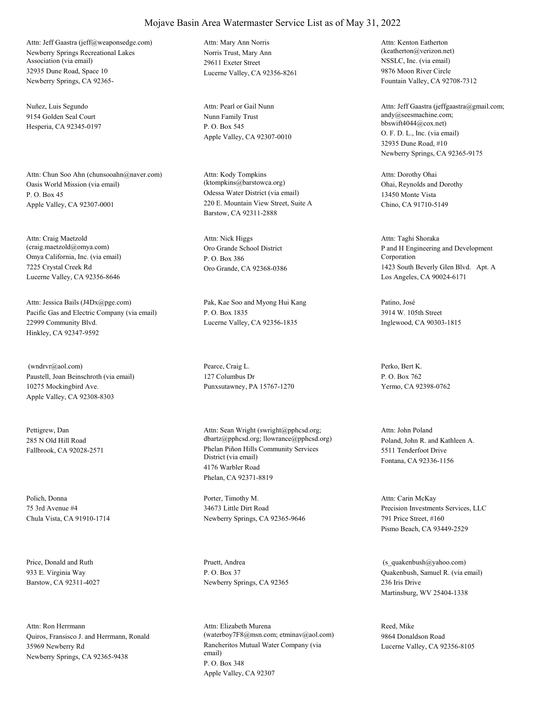Newberry Springs Recreational Lakes Association (via email) 32935 Dune Road, Space 10 Newberry Springs, CA 92365- Attn: Jeff Gaastra (jeff@weaponsedge.com)

Nuñez, Luis Segundo 9154 Golden Seal Court Hesperia, CA 92345-0197

Oasis World Mission (via email) P. O. Box 45 Apple Valley, CA 92307-0001 Attn: Chun Soo Ahn (chunsooahn@naver.com)

Omya California, Inc. (via email) 7225 Crystal Creek Rd Lucerne Valley, CA 92356-8646 Attn: Craig Maetzold (craig.maetzold@omya.com) Oro Grande School District

Pacific Gas and Electric Company (via email) 22999 Community Blvd. Hinkley, CA 92347-9592 Attn: Jessica Bails (J4Dx@pge.com) Pak, Kae Soo and Myong Hui Kang

Paustell, Joan Beinschroth (via email) 10275 Mockingbird Ave. Apple Valley, CA 92308-8303 (wndrvr@aol.com) Pearce, Craig L.

Pettigrew, Dan 285 N Old Hill Road

Polich, Donna 75 3rd Avenue #4 Chula Vista, CA 91910-1714

Price, Donald and Ruth 933 E. Virginia Way Barstow, CA 92311-4027

Quiros, Fransisco J. and Herrmann, Ronald 35969 Newberry Rd Newberry Springs, CA 92365-9438 Attn: Ron Herrmann

Norris Trust, Mary Ann 29611 Exeter Street Lucerne Valley, CA 92356-8261 Attn: Mary Ann Norris

Nunn Family Trust P. O. Box 545 Apple Valley, CA 92307-0010 Attn: Pearl or Gail Nunn

Odessa Water District (via email) 220 E. Mountain View Street, Suite A Barstow, CA 92311-2888 Attn: Kody Tompkins (ktompkins@barstowca.org) Ohai, Reynolds and Dorothy

P. O. Box 386 Oro Grande, CA 92368-0386 Attn: Nick Higgs

P. O. Box 1835 Lucerne Valley, CA 92356-1835

127 Columbus Dr Punxsutawney, PA 15767-1270

Fallbrook, CA 92028-2571 Phelan Piñon Hills Community Services District (via email) 4176 Warbler Road Phelan, CA 92371-8819 Attn: Sean Wright (swright@pphcsd.org; dbartz@pphcsd.org; llowrance@pphcsd.org) Poland, John R. and Kathleen A.

> Porter, Timothy M. 34673 Little Dirt Road Newberry Springs, CA 92365-9646

Pruett, Andrea P. O. Box 37 Newberry Springs, CA 92365

Rancheritos Mutual Water Company (via email) P. O. Box 348 Apple Valley, CA 92307 Attn: Elizabeth Murena (waterboy7F8@msn.com; etminav@aol.com) NSSLC, Inc. (via email) 9876 Moon River Circle Fountain Valley, CA 92708-7312 Attn: Kenton Eatherton (keatherton@verizon.net)

O. F. D. L., Inc. (via email) 32935 Dune Road, #10 Newberry Springs, CA 92365-9175 Attn: Jeff Gaastra (jeffgaastra@gmail.com; andy@seesmachine.com; bbswift4044@cox.net)

13450 Monte Vista Chino, CA 91710-5149 Attn: Dorothy Ohai

P and H Engineering and Development Corporation 1423 South Beverly Glen Blvd. Apt. A Los Angeles, CA 90024-6171 Attn: Taghi Shoraka

Patino, José 3914 W. 105th Street Inglewood, CA 90303-1815

Perko, Bert K. P. O. Box 762 Yermo, CA 92398-0762

5511 Tenderfoot Drive Fontana, CA 92336-1156 Attn: John Poland

Precision Investments Services, LLC 791 Price Street, #160 Pismo Beach, CA 93449-2529 Attn: Carin McKay

Quakenbush, Samuel R. (via email) 236 Iris Drive Martinsburg, WV 25404-1338 (s\_quakenbush@yahoo.com)

Reed, Mike 9864 Donaldson Road Lucerne Valley, CA 92356-8105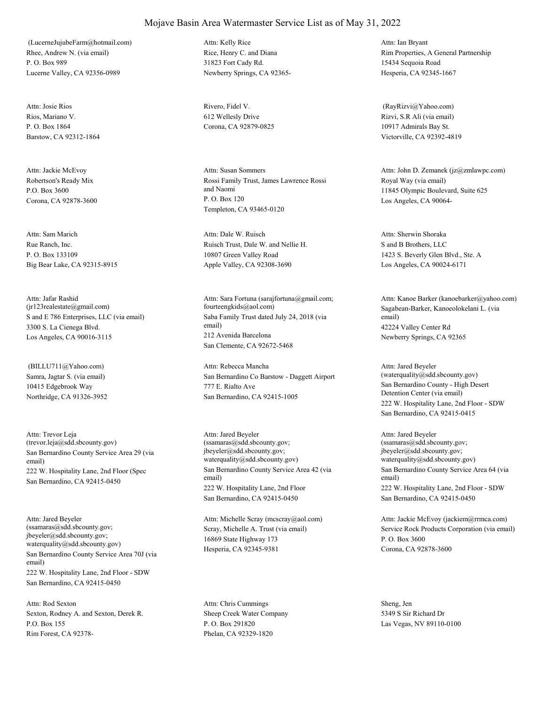Rhee, Andrew N. (via email) P. O. Box 989 Lucerne Valley, CA 92356-0989 (LucerneJujubeFarm@hotmail.com)

Rios, Mariano V. P. O. Box 1864 Barstow, CA 92312-1864 Attn: Josie Rios Rivero, Fidel V.

Robertson's Ready Mix P.O. Box 3600 Corona, CA 92878-3600 Attn: Jackie McEvoy

Rue Ranch, Inc. P. O. Box 133109 Big Bear Lake, CA 92315-8915 Attn: Sam Marich

S and E 786 Enterprises, LLC (via email) 3300 S. La Cienega Blvd. Los Angeles, CA 90016-3115 Attn: Jafar Rashid (jr123realestate@gmail.com)

Samra, Jagtar S. (via email) 10415 Edgebrook Way Northridge, CA 91326-3952 (BILLU711@Yahoo.com)

San Bernardino County Service Area 29 (via email) 222 W. Hospitality Lane, 2nd Floor (Spec San Bernardino, CA 92415-0450 Attn: Trevor Leja (trevor.leja@sdd.sbcounty.gov)

San Bernardino County Service Area 70J (via email) 222 W. Hospitality Lane, 2nd Floor - SDW San Bernardino, CA 92415-0450 Attn: Jared Beyeler (ssamaras@sdd.sbcounty.gov; jbeyeler@sdd.sbcounty.gov; waterquality@sdd.sbcounty.gov)

Sexton, Rodney A. and Sexton, Derek R. P.O. Box 155 Rim Forest, CA 92378- Attn: Rod Sexton

Rice, Henry C. and Diana 31823 Fort Cady Rd. Newberry Springs, CA 92365- Attn: Kelly Rice

612 Wellesly Drive Corona, CA 92879-0825

Rossi Family Trust, James Lawrence Rossi and Naomi P. O. Box 120 Templeton, CA 93465-0120 Attn: Susan Sommers

Ruisch Trust, Dale W. and Nellie H. 10807 Green Valley Road Apple Valley, CA 92308-3690 Attn: Dale W. Ruisch

Saba Family Trust dated July 24, 2018 (via email) 212 Avenida Barcelona San Clemente, CA 92672-5468 Attn: Sara Fortuna (sarajfortuna@gmail.com; fourteengkids@aol.com) Sagabean-Barker, Kanoeolokelani L. (via

San Bernardino Co Barstow - Daggett Airport 777 E. Rialto Ave San Bernardino, CA 92415-1005 Attn: Rebecca Mancha

San Bernardino County Service Area 42 (via email) 222 W. Hospitality Lane, 2nd Floor San Bernardino, CA 92415-0450 Attn: Jared Beyeler (ssamaras@sdd.sbcounty.gov; jbeyeler@sdd.sbcounty.gov; waterquality@sdd.sbcounty.gov)

Scray, Michelle A. Trust (via email) 16869 State Highway 173 Hesperia, CA 92345-9381 Attn: Michelle Scray (mcscray@aol.com)

Sheep Creek Water Company P. O. Box 291820 Phelan, CA 92329-1820 Attn: Chris Cummings Sheng, Jen

Rim Properties, A General Partnership 15434 Sequoia Road Hesperia, CA 92345-1667 Attn: Ian Bryant

Rizvi, S.R Ali (via email) 10917 Admirals Bay St. Victorville, CA 92392-4819 (RayRizvi@Yahoo.com)

Royal Way (via email) 11845 Olympic Boulevard, Suite 625 Los Angeles, CA 90064- Attn: John D. Zemanek (jz@zmlawpc.com)

S and B Brothers, LLC 1423 S. Beverly Glen Blvd., Ste. A Los Angeles, CA 90024-6171 Attn: Sherwin Shoraka

email) 42224 Valley Center Rd Newberry Springs, CA 92365 Attn: Kanoe Barker (kanoebarker@yahoo.com)

San Bernardino County - High Desert Detention Center (via email) 222 W. Hospitality Lane, 2nd Floor - SDW San Bernardino, CA 92415-0415 Attn: Jared Beyeler (waterquality@sdd.sbcounty.gov)

San Bernardino County Service Area 64 (via email) 222 W. Hospitality Lane, 2nd Floor - SDW San Bernardino, CA 92415-0450 Attn: Jared Beyeler (ssamaras@sdd.sbcounty.gov; jbeyeler@sdd.sbcounty.gov; waterquality@sdd.sbcounty.gov)

Service Rock Products Corporation (via email) P. O. Box 3600 Corona, CA 92878-3600 Attn: Jackie McEvoy (jackiem@rrmca.com)

5349 S Sir Richard Dr Las Vegas, NV 89110-0100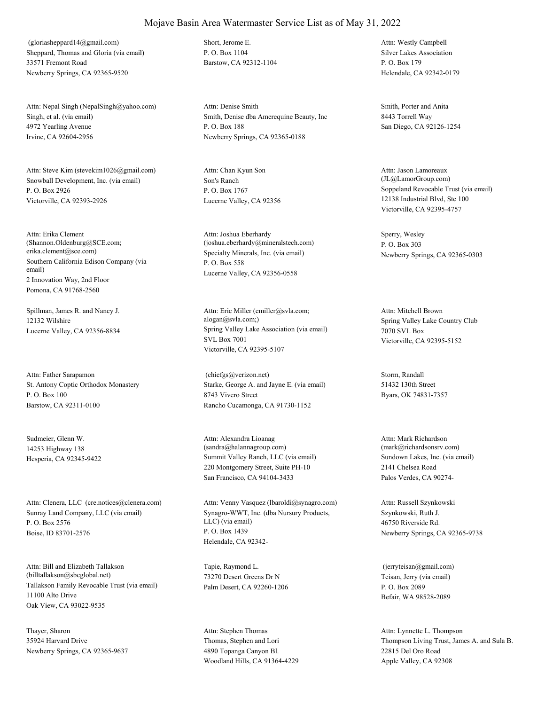Sheppard, Thomas and Gloria (via email) 33571 Fremont Road Newberry Springs, CA 92365-9520 (gloriasheppard14@gmail.com) Short, Jerome E.

Singh, et al. (via email) 4972 Yearling Avenue Irvine, CA 92604-2956 Attn: Nepal Singh (NepalSingh@yahoo.com)

Snowball Development, Inc. (via email) P. O. Box 2926 Victorville, CA 92393-2926 Attn: Steve Kim (stevekim1026@gmail.com)

Southern California Edison Company (via email) 2 Innovation Way, 2nd Floor Pomona, CA 91768-2560 Attn: Erika Clement (Shannon.Oldenburg@SCE.com; erika.clement@sce.com) Specialty Minerals, Inc. (via email)

Spillman, James R. and Nancy J. 12132 Wilshire

St. Antony Coptic Orthodox Monastery P. O. Box 100 Barstow, CA 92311-0100 Attn: Father Sarapamon

Sudmeier, Glenn W. 14253 Highway 138

Sunray Land Company, LLC (via email) P. O. Box 2576 Boise, ID 83701-2576 Attn: Clenera, LLC (cre.notices@clenera.com)

Tallakson Family Revocable Trust (via email) 11100 Alto Drive Oak View, CA 93022-9535 Attn: Bill and Elizabeth Tallakson (billtallakson@sbcglobal.net)

Thayer, Sharon 35924 Harvard Drive Newberry Springs, CA 92365-9637 P. O. Box 1104 Barstow, CA 92312-1104

Smith, Denise dba Amerequine Beauty, Inc P. O. Box 188 Newberry Springs, CA 92365-0188 Attn: Denise Smith Smith Smith, Porter and Anita

Son's Ranch P. O. Box 1767 Lucerne Valley, CA 92356 Attn: Chan Kyun Son

P. O. Box 558 Lucerne Valley, CA 92356-0558 Attn: Joshua Eberhardy (joshua.eberhardy@mineralstech.com)

Lucerne Valley, CA 92356-8834 Spring Valley Lake Association (via email) SVL Box 7001 Victorville, CA 92395-5107 Attn: Eric Miller (emiller@svla.com; alogan@svla.com;) Spring Valley Lake Country Club

> Starke, George A. and Jayne E. (via email) 8743 Vivero Street Rancho Cucamonga, CA 91730-1152 (chiefgs@verizon.net) Storm, Randall

Hesperia, CA 92345-9422 Summit Valley Ranch, LLC (via email) 220 Montgomery Street, Suite PH-10 San Francisco, CA 94104-3433 Attn: Alexandra Lioanag (sandra@halannagroup.com)

> Synagro-WWT, Inc. (dba Nursury Products, LLC) (via email) P. O. Box 1439 Helendale, CA 92342- Attn: Venny Vasquez (lbaroldi@synagro.com)

Tapie, Raymond L. 73270 Desert Greens Dr N Palm Desert, CA 92260-1206

Thomas, Stephen and Lori 4890 Topanga Canyon Bl. Woodland Hills, CA 91364-4229 Attn: Stephen Thomas

Silver Lakes Association P. O. Box 179 Helendale, CA 92342-0179 Attn: Westly Campbell

8443 Torrell Way San Diego, CA 92126-1254

Soppeland Revocable Trust (via email) 12138 Industrial Blvd, Ste 100 Victorville, CA 92395-4757 Attn: Jason Lamoreaux (JL@LamorGroup.com)

Sperry, Wesley P. O. Box 303 Newberry Springs, CA 92365-0303

7070 SVL Box Victorville, CA 92395-5152 Attn: Mitchell Brown

51432 130th Street Byars, OK 74831-7357

Sundown Lakes, Inc. (via email) 2141 Chelsea Road Palos Verdes, CA 90274- Attn: Mark Richardson (mark@richardsonsrv.com)

Szynkowski, Ruth J. 46750 Riverside Rd. Newberry Springs, CA 92365-9738 Attn: Russell Szynkowski

Teisan, Jerry (via email) P. O. Box 2089 Befair, WA 98528-2089 (jerryteisan@gmail.com)

Thompson Living Trust, James A. and Sula B. 22815 Del Oro Road Apple Valley, CA 92308 Attn: Lynnette L. Thompson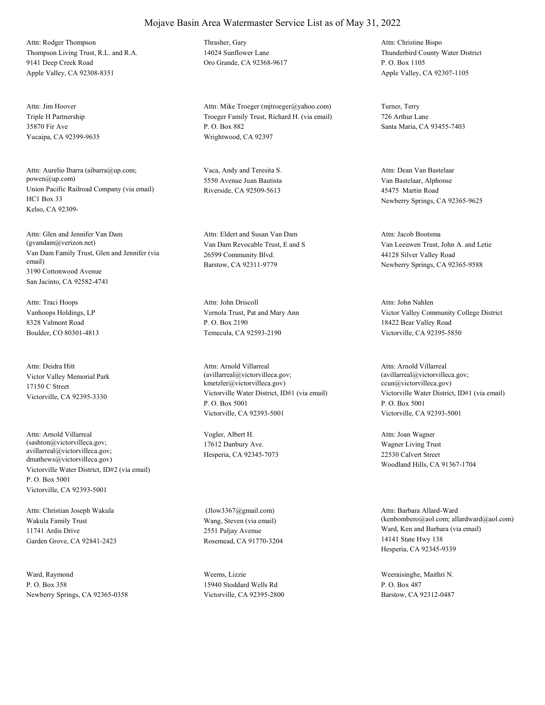Thompson Living Trust, R.L. and R.A. 9141 Deep Creek Road Apple Valley, CA 92308-8351 Attn: Rodger Thompson Thrasher, Gary

Triple H Partnership 35870 Fir Ave Yucaipa, CA 92399-9635 Attn: Jim Hoover

Union Pacific Railroad Company (via email) HC1 Box 33 Kelso, CA 92309- Attn: Aurelio Ibarra (aibarra@up.com; powen@up.com)

Van Dam Family Trust, Glen and Jennifer (via email) 3190 Cottonwood Avenue San Jacinto, CA 92582-4741 Attn: Glen and Jennifer Van Dam (gvandam@verizon.net) Van Dam Revocable Trust, E and S

Vanhoops Holdings, LP 8328 Valmont Road Boulder, CO 80301-4813 Attn: Traci Hoops

Victor Valley Memorial Park 17150 C Street Victorville, CA 92395-3330 Attn: Deidra Hitt

Victorville Water District, ID#2 (via email) P. O. Box 5001 Victorville, CA 92393-5001 Attn: Arnold Villarreal (sashton@victorvilleca.gov; avillarreal@victorvilleca.gov; dmathews@victorvilleca.gov)

Wakula Family Trust 11741 Ardis Drive Garden Grove, CA 92841-2423 Attn: Christian Joseph Wakula

Ward, Raymond P. O. Box 358 Newberry Springs, CA 92365-0358 14024 Sunflower Lane Oro Grande, CA 92368-9617

Troeger Family Trust, Richard H. (via email) P. O. Box 882 Wrightwood, CA 92397 Attn: Mike Troeger (mjtroeger@yahoo.com) Turner, Terry

Vaca, Andy and Teresita S. 5550 Avenue Juan Bautista Riverside, CA 92509-5613

26599 Community Blvd. Barstow, CA 92311-9779 Attn: Eldert and Susan Van Dam

Vernola Trust, Pat and Mary Ann P. O. Box 2190 Temecula, CA 92593-2190 Attn: John Driscoll

Victorville Water District, ID#1 (via email) P. O. Box 5001 Victorville, CA 92393-5001 Attn: Arnold Villarreal (avillarreal@victorvilleca.gov; kmetzler@victorvilleca.gov)

Vogler, Albert H. 17612 Danbury Ave. Hesperia, CA 92345-7073

Wang, Steven (via email) 2551 Paljay Avenue Rosemead, CA 91770-3204 (Jlow3367@gmail.com)

Weems, Lizzie 15940 Stoddard Wells Rd Victorville, CA 92395-2800

Thunderbird County Water District P. O. Box 1105 Apple Valley, CA 92307-1105 Attn: Christine Bispo

726 Arthur Lane Santa Maria, CA 93455-7403

Van Bastelaar, Alphonse 45475 Martin Road Newberry Springs, CA 92365-9625 Attn: Dean Van Bastelaar

Van Leeuwen Trust, John A. and Letie 44128 Silver Valley Road Newberry Springs, CA 92365-9588 Attn: Jacob Bootsma

Victor Valley Community College District 18422 Bear Valley Road Victorville, CA 92395-5850 Attn: John Nahlen

Victorville Water District, ID#1 (via email) P. O. Box 5001 Victorville, CA 92393-5001 Attn: Arnold Villarreal (avillarreal@victorvilleca.gov; ccun@victorvilleca.gov)

Wagner Living Trust 22530 Calvert Street Woodland Hills, CA 91367-1704 Attn: Joan Wagner

Ward, Ken and Barbara (via email) 14141 State Hwy 138 Hesperia, CA 92345-9339 Attn: Barbara Allard-Ward (kenbombero@aol.com; allardward@aol.com)

Weeraisinghe, Maithri N. P. O. Box 487 Barstow, CA 92312-0487

## Mojave Basin Area Watermaster Service List as of May 31, 2022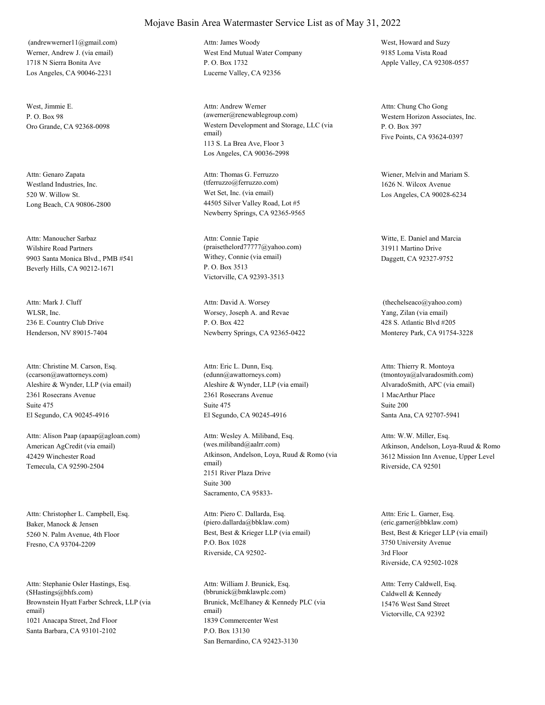Werner, Andrew J. (via email) 1718 N Sierra Bonita Ave Los Angeles, CA 90046-2231 (andrewwerner11@gmail.com)

West, Jimmie E.  $P \cap \text{Box } 98$ 

Westland Industries, Inc. 520 W. Willow St. Long Beach, CA 90806-2800 Attn: Genaro Zapata

Wilshire Road Partners 9903 Santa Monica Blvd., PMB #541 Beverly Hills, CA 90212-1671 Attn: Manoucher Sarbaz

WLSR, Inc. 236 E. Country Club Drive Henderson, NV 89015-7404 Attn: Mark J. Cluff

Aleshire & Wynder, LLP (via email) 2361 Rosecrans Avenue El Segundo, CA 90245-4916 Attn: Christine M. Carson, Esq. (ccarson@awattorneys.com) Suite 475

American AgCredit (via email) 42429 Winchester Road Temecula, CA 92590-2504 Attn: Alison Paap (apaap@agloan.com)

Baker, Manock & Jensen 5260 N. Palm Avenue, 4th Floor Fresno, CA 93704-2209 Attn: Christopher L. Campbell, Esq.

Brownstein Hyatt Farber Schreck, LLP (via email) 1021 Anacapa Street, 2nd Floor Santa Barbara, CA 93101-2102 Attn: Stephanie Osler Hastings, Esq. (SHastings@bhfs.com)

#### Mojave Basin Area Watermaster Service List as of May 31, 2022

West End Mutual Water Company P. O. Box 1732 Lucerne Valley, CA 92356 Attn: James Woody West, Howard and Suzy

Oro Grande, CA 92368-0098 Western Development and Storage, LLC (via email) 113 S. La Brea Ave, Floor 3 Los Angeles, CA 90036-2998 Attn: Andrew Werner (awerner@renewablegroup.com) Western Horizon Associates, Inc.

> Wet Set, Inc. (via email) 44505 Silver Valley Road, Lot #5 Newberry Springs, CA 92365-9565 Attn: Thomas G. Ferruzzo (tferruzzo@ferruzzo.com)

Withey, Connie (via email) P. O. Box 3513 Victorville, CA 92393-3513 Attn: Connie Tapie (praisethelord77777@yahoo.com)

Worsey, Joseph A. and Revae P. O. Box 422 Newberry Springs, CA 92365-0422 Attn: David A. Worsey

Aleshire & Wynder, LLP (via email) 2361 Rosecrans Avenue El Segundo, CA 90245-4916 Attn: Eric L. Dunn, Esq. (edunn@awattorneys.com) Suite 475

Atkinson, Andelson, Loya, Ruud & Romo (via email) 2151 River Plaza Drive Sacramento, CA 95833- Attn: Wesley A. Miliband, Esq. (wes.miliband@aalrr.com) Suite 300

Best, Best & Krieger LLP (via email) P.O. Box 1028 Riverside, CA 92502- Attn: Piero C. Dallarda, Esq. (piero.dallarda@bbklaw.com)

Brunick, McElhaney & Kennedy PLC (via email) 1839 Commercenter West San Bernardino, CA 92423-3130 Attn: William J. Brunick, Esq. (bbrunick@bmklawplc.com) P.O. Box 13130

9185 Loma Vista Road Apple Valley, CA 92308-0557

P. O. Box 397 Five Points, CA 93624-0397 Attn: Chung Cho Gong

Wiener, Melvin and Mariam S. 1626 N. Wilcox Avenue Los Angeles, CA 90028-6234

Witte, E. Daniel and Marcia 31911 Martino Drive Daggett, CA 92327-9752

Yang, Zilan (via email) 428 S. Atlantic Blvd #205 Monterey Park, CA 91754-3228 (thechelseaco@yahoo.com)

AlvaradoSmith, APC (via email) 1 MacArthur Place Santa Ana, CA 92707-5941 Attn: Thierry R. Montoya (tmontoya@alvaradosmith.com) Suite 200

Atkinson, Andelson, Loya-Ruud & Romo 3612 Mission Inn Avenue, Upper Level Riverside, CA 92501 Attn: W.W. Miller, Esq.

Best, Best & Krieger LLP (via email) 3750 University Avenue Riverside, CA 92502-1028 Attn: Eric L. Garner, Esq. (eric.garner@bbklaw.com) 3rd Floor

Caldwell & Kennedy 15476 West Sand Street Victorville, CA 92392 Attn: Terry Caldwell, Esq.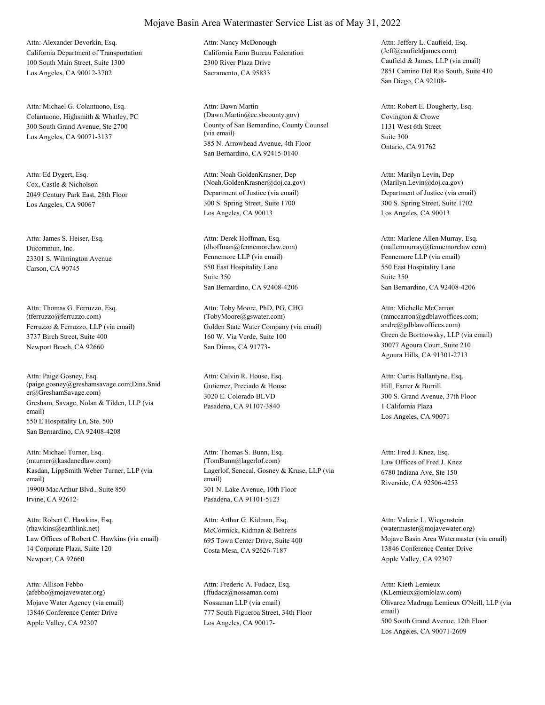California Department of Transportation 100 South Main Street, Suite 1300 Los Angeles, CA 90012-3702 Attn: Alexander Devorkin, Esq.

Colantuono, Highsmith & Whatley, PC 300 South Grand Avenue, Ste 2700 Los Angeles, CA 90071-3137 Attn: Michael G. Colantuono, Esq.

Cox, Castle & Nicholson 2049 Century Park East, 28th Floor Los Angeles, CA 90067 Attn: Ed Dygert, Esq.

Ducommun, Inc. 23301 S. Wilmington Avenue Carson, CA 90745 Attn: James S. Heiser, Esq.

Ferruzzo & Ferruzzo, LLP (via email) 3737 Birch Street, Suite 400 Newport Beach, CA 92660 Attn: Thomas G. Ferruzzo, Esq. (tferruzzo@ferruzzo.com)

Gresham, Savage, Nolan & Tilden, LLP (via email) 550 E Hospitality Ln, Ste. 500 San Bernardino, CA 92408-4208 Attn: Paige Gosney, Esq. (paige.gosney@greshamsavage.com;Dina.Snid er@GreshamSavage.com)

Kasdan, LippSmith Weber Turner, LLP (via email) 19900 MacArthur Blvd., Suite 850 Irvine, CA 92612- Attn: Michael Turner, Esq. (mturner@kasdancdlaw.com)

Law Offices of Robert C. Hawkins (via email) 14 Corporate Plaza, Suite 120 Newport, CA 92660 Attn: Robert C. Hawkins, Esq. (rhawkins@earthlink.net) McCormick, Kidman & Behrens

Mojave Water Agency (via email) 13846 Conference Center Drive Apple Valley, CA 92307 Attn: Allison Febbo (afebbo@mojavewater.org)

California Farm Bureau Federation 2300 River Plaza Drive Sacramento, CA 95833 Attn: Nancy McDonough

County of San Bernardino, County Counsel (via email) 385 N. Arrowhead Avenue, 4th Floor San Bernardino, CA 92415-0140 Attn: Dawn Martin (Dawn.Martin@cc.sbcounty.gov) Covington & Crowe

Department of Justice (via email) 300 S. Spring Street, Suite 1700 Los Angeles, CA 90013 Attn: Noah GoldenKrasner, Dep (Noah.GoldenKrasner@doj.ca.gov)

Fennemore LLP (via email) 550 East Hospitality Lane San Bernardino, CA 92408-4206 Attn: Derek Hoffman, Esq. (dhoffman@fennemorelaw.com) Suite 350

Golden State Water Company (via email) 160 W. Via Verde, Suite 100 San Dimas, CA 91773- Attn: Toby Moore, PhD, PG, CHG (TobyMoore@gswater.com)

Gutierrez, Preciado & House 3020 E. Colorado BLVD Pasadena, CA 91107-3840 Attn: Calvin R. House, Esq.

Lagerlof, Senecal, Gosney & Kruse, LLP (via email) 301 N. Lake Avenue, 10th Floor Pasadena, CA 91101-5123 Attn: Thomas S. Bunn, Esq. (TomBunn@lagerlof.com) Law Offices of Fred J. Knez

695 Town Center Drive, Suite 400 Costa Mesa, CA 92626-7187 Attn: Arthur G. Kidman, Esq.

Nossaman LLP (via email) 777 South Figueroa Street, 34th Floor Los Angeles, CA 90017- Attn: Frederic A. Fudacz, Esq. (ffudacz@nossaman.com)

Caufield & James, LLP (via email) 2851 Camino Del Rio South, Suite 410 San Diego, CA 92108- Attn: Jeffery L. Caufield, Esq. (Jeff@caufieldjames.com)

1131 West 6th Street Ontario, CA 91762 Attn: Robert E. Dougherty, Esq. Suite 300

Department of Justice (via email) 300 S. Spring Street, Suite 1702 Los Angeles, CA 90013 Attn: Marilyn Levin, Dep (Marilyn.Levin@doj.ca.gov)

Fennemore LLP (via email) 550 East Hospitality Lane San Bernardino, CA 92408-4206 Attn: Marlene Allen Murray, Esq. (mallenmurray@fennemorelaw.com) Suite 350

Green de Bortnowsky, LLP (via email) 30077 Agoura Court, Suite 210 Agoura Hills, CA 91301-2713 Attn: Michelle McCarron (mmccarron@gdblawoffices.com; andre@gdblawoffices.com)

Hill, Farrer & Burrill 300 S. Grand Avenue, 37th Floor Los Angeles, CA 90071 Attn: Curtis Ballantyne, Esq. 1 California Plaza

6780 Indiana Ave, Ste 150 Riverside, CA 92506-4253 Attn: Fred J. Knez, Esq.

Mojave Basin Area Watermaster (via email) 13846 Conference Center Drive Apple Valley, CA 92307 Attn: Valerie L. Wiegenstein (watermaster@mojavewater.org)

Olivarez Madruga Lemieux O'Neill, LLP (via email) 500 South Grand Avenue, 12th Floor Los Angeles, CA 90071-2609 Attn: Kieth Lemieux (KLemieux@omlolaw.com)